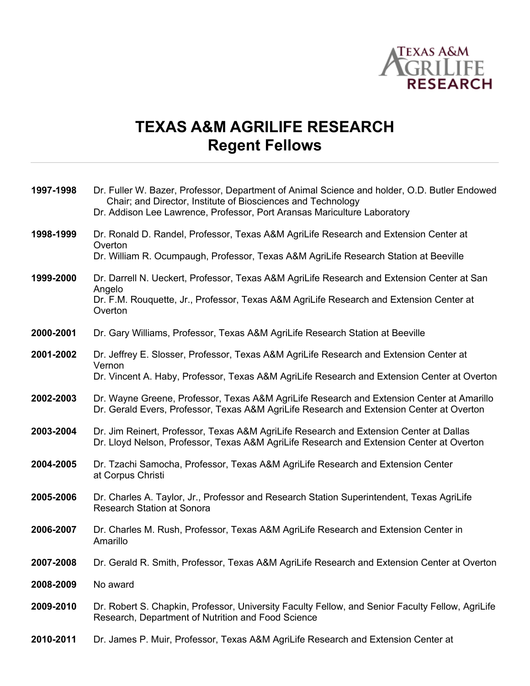

## **TEXAS A&M AGRILIFE RESEARCH Regent Fellows**

| 1997-1998 | Dr. Fuller W. Bazer, Professor, Department of Animal Science and holder, O.D. Butler Endowed<br>Chair; and Director, Institute of Biosciences and Technology<br>Dr. Addison Lee Lawrence, Professor, Port Aransas Mariculture Laboratory |
|-----------|------------------------------------------------------------------------------------------------------------------------------------------------------------------------------------------------------------------------------------------|
| 1998-1999 | Dr. Ronald D. Randel, Professor, Texas A&M AgriLife Research and Extension Center at<br>Overton                                                                                                                                          |
|           | Dr. William R. Ocumpaugh, Professor, Texas A&M AgriLife Research Station at Beeville                                                                                                                                                     |
| 1999-2000 | Dr. Darrell N. Ueckert, Professor, Texas A&M AgriLife Research and Extension Center at San<br>Angelo                                                                                                                                     |
|           | Dr. F.M. Rouquette, Jr., Professor, Texas A&M AgriLife Research and Extension Center at<br>Overton                                                                                                                                       |
| 2000-2001 | Dr. Gary Williams, Professor, Texas A&M AgriLife Research Station at Beeville                                                                                                                                                            |
| 2001-2002 | Dr. Jeffrey E. Slosser, Professor, Texas A&M AgriLife Research and Extension Center at                                                                                                                                                   |
|           | Vernon<br>Dr. Vincent A. Haby, Professor, Texas A&M AgriLife Research and Extension Center at Overton                                                                                                                                    |
| 2002-2003 | Dr. Wayne Greene, Professor, Texas A&M AgriLife Research and Extension Center at Amarillo<br>Dr. Gerald Evers, Professor, Texas A&M AgriLife Research and Extension Center at Overton                                                    |
| 2003-2004 | Dr. Jim Reinert, Professor, Texas A&M AgriLife Research and Extension Center at Dallas<br>Dr. Lloyd Nelson, Professor, Texas A&M AgriLife Research and Extension Center at Overton                                                       |
| 2004-2005 | Dr. Tzachi Samocha, Professor, Texas A&M AgriLife Research and Extension Center<br>at Corpus Christi                                                                                                                                     |
| 2005-2006 | Dr. Charles A. Taylor, Jr., Professor and Research Station Superintendent, Texas AgriLife<br><b>Research Station at Sonora</b>                                                                                                           |
| 2006-2007 | Dr. Charles M. Rush, Professor, Texas A&M AgriLife Research and Extension Center in<br>Amarillo                                                                                                                                          |
| 2007-2008 | Dr. Gerald R. Smith, Professor, Texas A&M AgriLife Research and Extension Center at Overton                                                                                                                                              |
| 2008-2009 | No award                                                                                                                                                                                                                                 |
| 2009-2010 | Dr. Robert S. Chapkin, Professor, University Faculty Fellow, and Senior Faculty Fellow, AgriLife<br>Research, Department of Nutrition and Food Science                                                                                   |
| 2010-2011 | Dr. James P. Muir, Professor, Texas A&M AgriLife Research and Extension Center at                                                                                                                                                        |